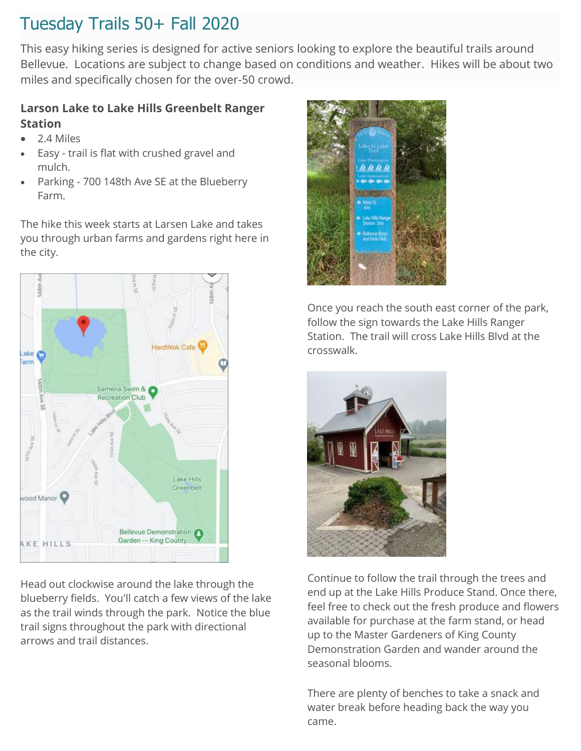This easy hiking series is designed for active seniors looking to explore the beautiful trails around Bellevue. Locations are subject to change based on conditions and weather. Hikes will be about two miles and specifically chosen for the over-50 crowd.

### **Larson Lake to Lake Hills Greenbelt Ranger Station**

- 2.4 Miles
- Easy trail is flat with crushed gravel and mulch.
- Parking 700 148th Ave SE at the Blueberry Farm.

The hike this week starts at Larsen Lake and takes you through urban farms and gardens right here in the city.



Head out clockwise around the lake through the blueberry fields. You'll catch a few views of the lake as the trail winds through the park. Notice the blue trail signs throughout the park with directional arrows and trail distances.



Once you reach the south east corner of the park, follow the sign towards the Lake Hills Ranger Station. The trail will cross Lake Hills Blvd at the crosswalk.



Continue to follow the trail through the trees and end up at the Lake Hills Produce Stand. Once there, feel free to check out the fresh produce and flowers available for purchase at the farm stand, or head up to the Master Gardeners of King County Demonstration Garden and wander around the seasonal blooms.

There are plenty of benches to take a snack and water break before heading back the way you came.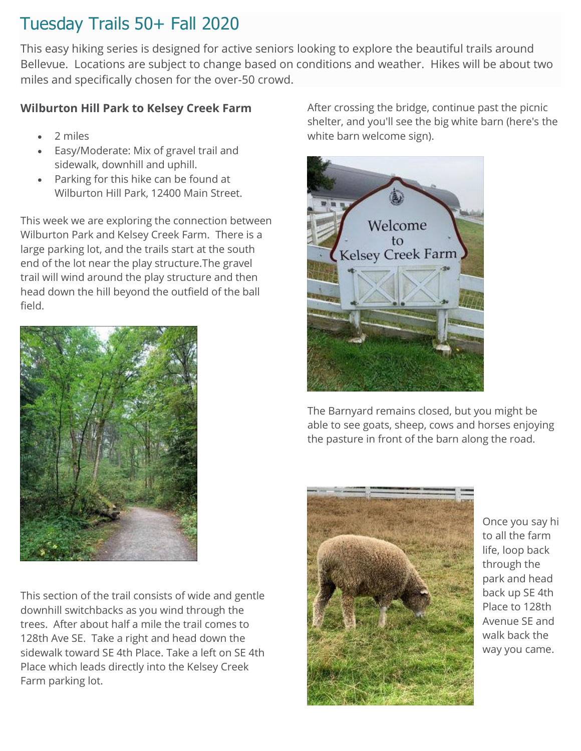This easy hiking series is designed for active seniors looking to explore the beautiful trails around Bellevue. Locations are subject to change based on conditions and weather. Hikes will be about two miles and specifically chosen for the over-50 crowd.

### **Wilburton Hill Park to Kelsey Creek Farm**

- 2 miles
- Easy/Moderate: Mix of gravel trail and sidewalk, downhill and uphill.
- Parking for this hike can be found at Wilburton Hill Park, 12400 Main Street.

This week we are exploring the connection between Wilburton Park and Kelsey Creek Farm. There is a large parking lot, and the trails start at the south end of the lot near the play structure.The gravel trail will wind around the play structure and then head down the hill beyond the outfield of the ball field.



This section of the trail consists of wide and gentle downhill switchbacks as you wind through the trees. After about half a mile the trail comes to 128th Ave SE. Take a right and head down the sidewalk toward SE 4th Place. Take a left on SE 4th Place which leads directly into the Kelsey Creek Farm parking lot.

After crossing the bridge, continue past the picnic shelter, and you'll see the big white barn (here's the white barn welcome sign).



The Barnyard remains closed, but you might be able to see goats, sheep, cows and horses enjoying the pasture in front of the barn along the road.



Once you say hi to all the farm life, loop back through the park and head back up SE 4th Place to 128th Avenue SE and walk back the way you came.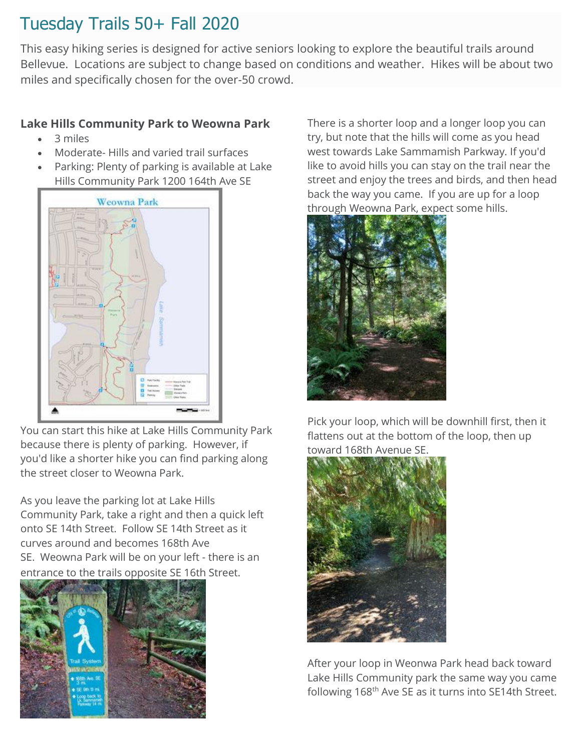This easy hiking series is designed for active seniors looking to explore the beautiful trails around Bellevue. Locations are subject to change based on conditions and weather. Hikes will be about two miles and specifically chosen for the over-50 crowd.

### **Lake Hills Community Park to Weowna Park**

- 3 miles
- Moderate- Hills and varied trail surfaces
- Parking: Plenty of parking is available at Lake Hills Community Park 1200 164th Ave SE



You can start this hike at Lake Hills Community Park because there is plenty of parking. However, if you'd like a shorter hike you can find parking along the street closer to Weowna Park.

As you leave the parking lot at Lake Hills Community Park, take a right and then a quick left onto SE 14th Street. Follow SE 14th Street as it curves around and becomes 168th Ave SE. Weowna Park will be on your left - there is an entrance to the trails opposite SE 16th Street.



There is a shorter loop and a longer loop you can try, but note that the hills will come as you head west towards Lake Sammamish Parkway. If you'd like to avoid hills you can stay on the trail near the street and enjoy the trees and birds, and then head back the way you came. If you are up for a loop through Weowna Park, expect some hills.



Pick your loop, which will be downhill first, then it flattens out at the bottom of the loop, then up toward 168th Avenue SE



After your loop in Weonwa Park head back toward Lake Hills Community park the same way you came following 168<sup>th</sup> Ave SE as it turns into SE14th Street.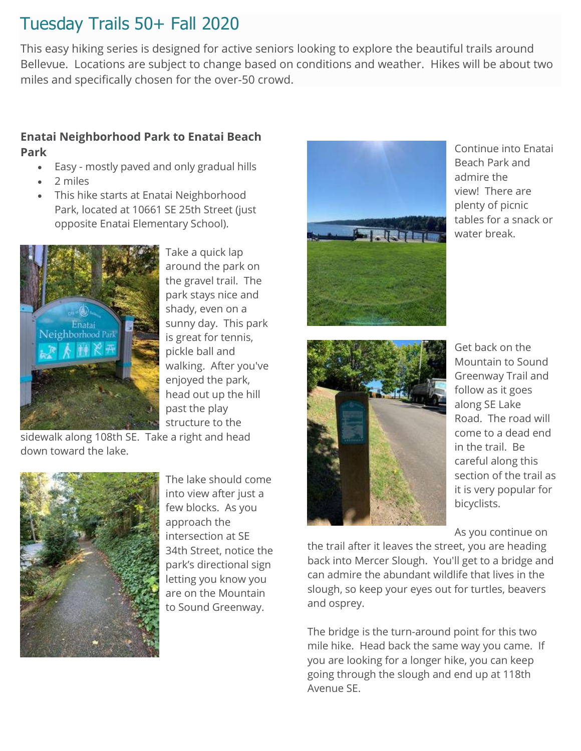This easy hiking series is designed for active seniors looking to explore the beautiful trails around Bellevue. Locations are subject to change based on conditions and weather. Hikes will be about two miles and specifically chosen for the over-50 crowd.

### **Enatai Neighborhood Park to Enatai Beach Park**

- Easy mostly paved and only gradual hills
- 2 miles
- This hike starts at Enatai Neighborhood Park, located at 10661 SE 25th Street (just opposite Enatai Elementary School).



Take a quick lap around the park on the gravel trail. The park stays nice and shady, even on a sunny day. This park is great for tennis, pickle ball and walking. After you've enjoyed the park, head out up the hill past the play structure to the

sidewalk along 108th SE. Take a right and head down toward the lake.



The lake should come into view after just a few blocks. As you approach the intersection at SE 34th Street, notice the park's directional sign letting you know you are on the Mountain to Sound Greenway.



Continue into Enatai Beach Park and admire the view! There are plenty of picnic tables for a snack or water break.



Get back on the Mountain to Sound Greenway Trail and follow as it goes along SE Lake Road. The road will come to a dead end in the trail. Be careful along this section of the trail as it is very popular for bicyclists.

As you continue on

the trail after it leaves the street, you are heading back into Mercer Slough. You'll get to a bridge and can admire the abundant wildlife that lives in the slough, so keep your eyes out for turtles, beavers and osprey.

The bridge is the turn-around point for this two mile hike. Head back the same way you came. If you are looking for a longer hike, you can keep going through the slough and end up at 118th Avenue SE.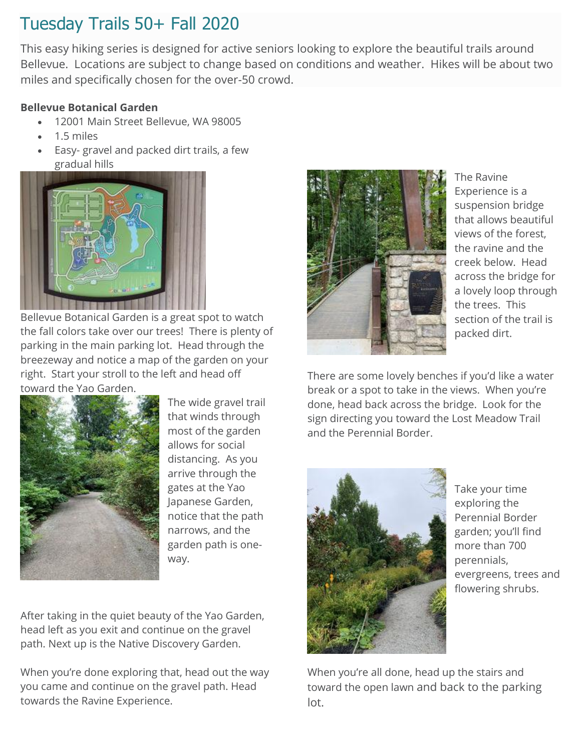This easy hiking series is designed for active seniors looking to explore the beautiful trails around Bellevue. Locations are subject to change based on conditions and weather. Hikes will be about two miles and specifically chosen for the over-50 crowd.

### **Bellevue Botanical Garden**

- 12001 Main Street Bellevue, WA 98005
- 1.5 miles
- Easy- gravel and packed dirt trails, a few gradual hills



Bellevue Botanical Garden is a great spot to watch the fall colors take over our trees! There is plenty of parking in the main parking lot. Head through the breezeway and notice a map of the garden on your right. Start your stroll to the left and head off toward the Yao Garden.



The wide gravel trail that winds through most of the garden allows for social distancing. As you arrive through the gates at the Yao Japanese Garden, notice that the path narrows, and the garden path is oneway.

After taking in the quiet beauty of the Yao Garden, head left as you exit and continue on the gravel path. Next up is the Native Discovery Garden.

When you're done exploring that, head out the way you came and continue on the gravel path. Head towards the Ravine Experience.



The Ravine Experience is a suspension bridge that allows beautiful views of the forest, the ravine and the creek below. Head across the bridge for a lovely loop through the trees. This section of the trail is packed dirt.

There are some lovely benches if you'd like a water break or a spot to take in the views. When you're done, head back across the bridge. Look for the sign directing you toward the Lost Meadow Trail and the Perennial Border.



Take your time exploring the Perennial Border garden; you'll find more than 700 perennials, evergreens, trees and flowering shrubs.

When you're all done, head up the stairs and toward the open lawn and back to the parking lot.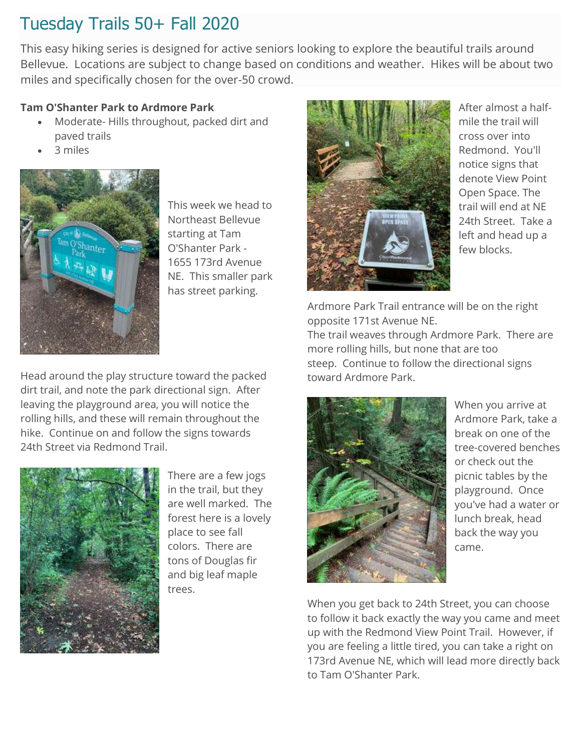This easy hiking series is designed for active seniors looking to explore the beautiful trails around Bellevue. Locations are subject to change based on conditions and weather. Hikes will be about two miles and specifically chosen for the over-50 crowd.

#### **Tam O'Shanter Park to Ardmore Park**

- Moderate- Hills throughout, packed dirt and paved trails
- 3 miles



This week we head to Northeast Bellevue starting at Tam O'Shanter Park - 1655 173rd Avenue NE. This smaller park has street parking.

Head around the play structure toward the packed dirt trail, and note the park directional sign. After leaving the playground area, you will notice the rolling hills, and these will remain throughout the hike. Continue on and follow the signs towards 24th Street via Redmond Trail.



There are a few jogs in the trail, but they are well marked. The forest here is a lovely place to see fall colors. There are tons of Douglas fir and big leaf maple trees.



After almost a halfmile the trail will cross over into Redmond. You'll notice signs that denote View Point Open Space. The trail will end at NE 24th Street. Take a left and head up a few blocks.

Ardmore Park Trail entrance will be on the right opposite 171st Avenue NE. The trail weaves through Ardmore Park. There are more rolling hills, but none that are too steep. Continue to follow the directional signs toward Ardmore Park.



When you arrive at Ardmore Park, take a break on one of the tree-covered benches or check out the picnic tables by the playground. Once you've had a water or lunch break, head back the way you came.

When you get back to 24th Street, you can choose to follow it back exactly the way you came and meet up with the Redmond View Point Trail. However, if you are feeling a little tired, you can take a right on 173rd Avenue NE, which will lead more directly back to Tam O'Shanter Park.